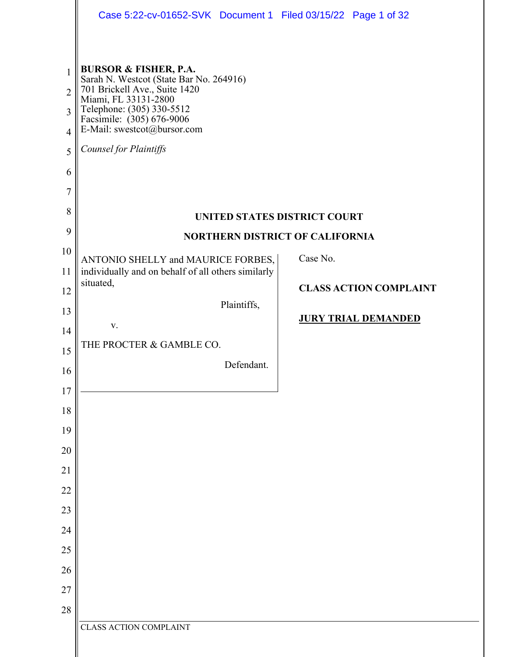|                                                                                             | Case 5:22-cv-01652-SVK Document 1 Filed 03/15/22 Page 1 of 32                                                                                                                                                                                                                           |                                                             |
|---------------------------------------------------------------------------------------------|-----------------------------------------------------------------------------------------------------------------------------------------------------------------------------------------------------------------------------------------------------------------------------------------|-------------------------------------------------------------|
| $\mathbf{1}$<br>$\overline{2}$<br>3<br>$\overline{4}$<br>5<br>6<br>$\overline{7}$<br>8<br>9 | <b>BURSOR &amp; FISHER, P.A.</b><br>Sarah N. Westcot (State Bar No. 264916)<br>701 Brickell Ave., Suite 1420<br>Miami, FL 33131-2800<br>Telephone: (305) 330-5512<br>Facsimile: (305) 676-9006<br>E-Mail: swestcot@bursor.com<br>Counsel for Plaintiffs<br>UNITED STATES DISTRICT COURT |                                                             |
| 10<br>11                                                                                    | <b>NORTHERN DISTRICT OF CALIFORNIA</b><br>ANTONIO SHELLY and MAURICE FORBES,<br>individually and on behalf of all others similarly<br>situated,                                                                                                                                         | Case No.                                                    |
| 12<br>13<br>14                                                                              | Plaintiffs,<br>V.                                                                                                                                                                                                                                                                       | <b>CLASS ACTION COMPLAINT</b><br><b>JURY TRIAL DEMANDED</b> |
| 15<br>16                                                                                    | THE PROCTER & GAMBLE CO.<br>Defendant.                                                                                                                                                                                                                                                  |                                                             |
| 17<br>18                                                                                    |                                                                                                                                                                                                                                                                                         |                                                             |
| 19<br>20                                                                                    |                                                                                                                                                                                                                                                                                         |                                                             |
| 21<br>22                                                                                    |                                                                                                                                                                                                                                                                                         |                                                             |
| 23<br>24                                                                                    |                                                                                                                                                                                                                                                                                         |                                                             |
| 25<br>26                                                                                    |                                                                                                                                                                                                                                                                                         |                                                             |
| $27\,$<br>28                                                                                |                                                                                                                                                                                                                                                                                         |                                                             |
|                                                                                             | CLASS ACTION COMPLAINT                                                                                                                                                                                                                                                                  |                                                             |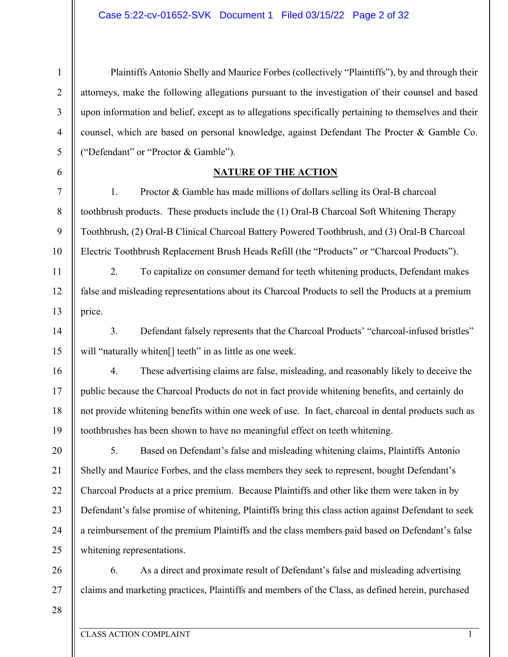Plaintiffs Antonio Shelly and Maurice Forbes (collectively "Plaintiffs"), by and through their attorneys, make the following allegations pursuant to the investigation of their counsel and based upon information and belief, except as to allegations specifically pertaining to themselves and their counsel, which are based on personal knowledge, against Defendant The Procter & Gamble Co. ("Defendant" or "Proctor & Gamble"). **NATURE OF THE ACTION**  1. Proctor & Gamble has made millions of dollars selling its Oral-B charcoal

toothbrush products. These products include the (1) Oral-B Charcoal Soft Whitening Therapy Toothbrush, (2) Oral-B Clinical Charcoal Battery Powered Toothbrush, and (3) Oral-B Charcoal Electric Toothbrush Replacement Brush Heads Refill (the "Products" or "Charcoal Products").

2. To capitalize on consumer demand for teeth whitening products, Defendant makes false and misleading representations about its Charcoal Products to sell the Products at a premium price.

3. Defendant falsely represents that the Charcoal Products' "charcoal-infused bristles" will "naturally whiten<sup>[]</sup> teeth" in as little as one week.

18 19 4. These advertising claims are false, misleading, and reasonably likely to deceive the public because the Charcoal Products do not in fact provide whitening benefits, and certainly do not provide whitening benefits within one week of use. In fact, charcoal in dental products such as toothbrushes has been shown to have no meaningful effect on teeth whitening.

20 21 22 23 24 25 5. Based on Defendant's false and misleading whitening claims, Plaintiffs Antonio Shelly and Maurice Forbes, and the class members they seek to represent, bought Defendant's Charcoal Products at a price premium. Because Plaintiffs and other like them were taken in by Defendant's false promise of whitening, Plaintiffs bring this class action against Defendant to seek a reimbursement of the premium Plaintiffs and the class members paid based on Defendant's false whitening representations.

26 27 6. As a direct and proximate result of Defendant's false and misleading advertising claims and marketing practices, Plaintiffs and members of the Class, as defined herein, purchased

28

1

2

3

4

5

6

7

8

9

10

11

12

13

14

15

16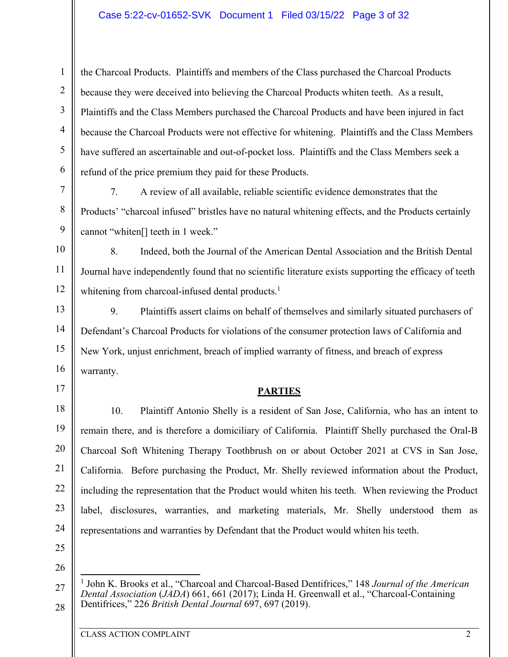### Case 5:22-cv-01652-SVK Document 1 Filed 03/15/22 Page 3 of 32

the Charcoal Products. Plaintiffs and members of the Class purchased the Charcoal Products because they were deceived into believing the Charcoal Products whiten teeth. As a result, Plaintiffs and the Class Members purchased the Charcoal Products and have been injured in fact because the Charcoal Products were not effective for whitening. Plaintiffs and the Class Members have suffered an ascertainable and out-of-pocket loss. Plaintiffs and the Class Members seek a refund of the price premium they paid for these Products.

7. A review of all available, reliable scientific evidence demonstrates that the Products' "charcoal infused" bristles have no natural whitening effects, and the Products certainly cannot "whiten[] teeth in 1 week."

10 11 12 8. Indeed, both the Journal of the American Dental Association and the British Dental Journal have independently found that no scientific literature exists supporting the efficacy of teeth whitening from charcoal-infused dental products.<sup>1</sup>

13 14 15 16 9. Plaintiffs assert claims on behalf of themselves and similarly situated purchasers of Defendant's Charcoal Products for violations of the consumer protection laws of California and New York, unjust enrichment, breach of implied warranty of fitness, and breach of express warranty.

#### **PARTIES**

18 19 20 21 22 23 24 10. Plaintiff Antonio Shelly is a resident of San Jose, California, who has an intent to remain there, and is therefore a domiciliary of California. Plaintiff Shelly purchased the Oral-B Charcoal Soft Whitening Therapy Toothbrush on or about October 2021 at CVS in San Jose, California. Before purchasing the Product, Mr. Shelly reviewed information about the Product, including the representation that the Product would whiten his teeth. When reviewing the Product label, disclosures, warranties, and marketing materials, Mr. Shelly understood them as representations and warranties by Defendant that the Product would whiten his teeth.

25

17

1

2

3

4

5

6

7

8

9

26

27

<sup>&</sup>lt;sup>1</sup> John K. Brooks et al., "Charcoal and Charcoal-Based Dentifrices," 148 *Journal of the American Dental Association* (*JADA*) 661, 661 (2017); Linda H. Greenwall et al., "Charcoal-Containing Dentifrices," 226 *British Dental Journal* 697, 697 (2019).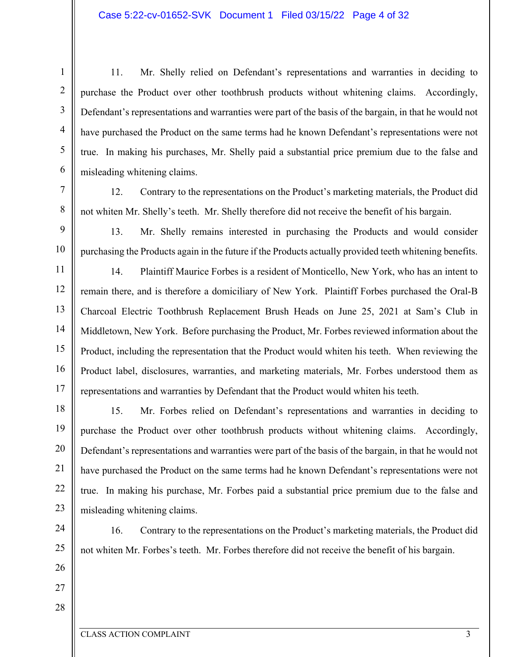11. Mr. Shelly relied on Defendant's representations and warranties in deciding to purchase the Product over other toothbrush products without whitening claims. Accordingly, Defendant's representations and warranties were part of the basis of the bargain, in that he would not have purchased the Product on the same terms had he known Defendant's representations were not true. In making his purchases, Mr. Shelly paid a substantial price premium due to the false and misleading whitening claims.

12. Contrary to the representations on the Product's marketing materials, the Product did not whiten Mr. Shelly's teeth. Mr. Shelly therefore did not receive the benefit of his bargain.

13. Mr. Shelly remains interested in purchasing the Products and would consider purchasing the Products again in the future if the Products actually provided teeth whitening benefits.

11 12 13 14 15 16 17 14. Plaintiff Maurice Forbes is a resident of Monticello, New York, who has an intent to remain there, and is therefore a domiciliary of New York. Plaintiff Forbes purchased the Oral-B Charcoal Electric Toothbrush Replacement Brush Heads on June 25, 2021 at Sam's Club in Middletown, New York. Before purchasing the Product, Mr. Forbes reviewed information about the Product, including the representation that the Product would whiten his teeth. When reviewing the Product label, disclosures, warranties, and marketing materials, Mr. Forbes understood them as representations and warranties by Defendant that the Product would whiten his teeth.

18 19 20 21 22 23 15. Mr. Forbes relied on Defendant's representations and warranties in deciding to purchase the Product over other toothbrush products without whitening claims. Accordingly, Defendant's representations and warranties were part of the basis of the bargain, in that he would not have purchased the Product on the same terms had he known Defendant's representations were not true. In making his purchase, Mr. Forbes paid a substantial price premium due to the false and misleading whitening claims.

24 25

1

2

3

4

5

6

7

8

9

10

16. Contrary to the representations on the Product's marketing materials, the Product did not whiten Mr. Forbes's teeth. Mr. Forbes therefore did not receive the benefit of his bargain.

26 27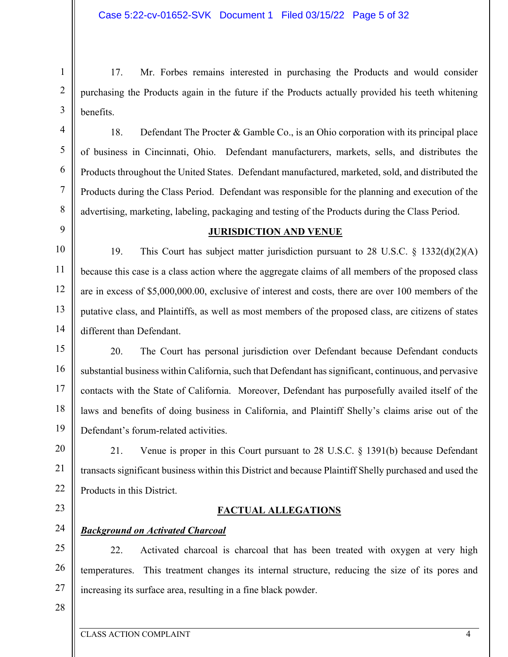17. Mr. Forbes remains interested in purchasing the Products and would consider purchasing the Products again in the future if the Products actually provided his teeth whitening benefits.

18. Defendant The Procter & Gamble Co., is an Ohio corporation with its principal place of business in Cincinnati, Ohio. Defendant manufacturers, markets, sells, and distributes the Products throughout the United States. Defendant manufactured, marketed, sold, and distributed the Products during the Class Period. Defendant was responsible for the planning and execution of the advertising, marketing, labeling, packaging and testing of the Products during the Class Period.

#### **JURISDICTION AND VENUE**

10 11 12 13 14 19. This Court has subject matter jurisdiction pursuant to 28 U.S.C. § 1332(d)(2)(A) because this case is a class action where the aggregate claims of all members of the proposed class are in excess of \$5,000,000.00, exclusive of interest and costs, there are over 100 members of the putative class, and Plaintiffs, as well as most members of the proposed class, are citizens of states different than Defendant.

15 16 17 18 19 20. The Court has personal jurisdiction over Defendant because Defendant conducts substantial business within California, such that Defendant has significant, continuous, and pervasive contacts with the State of California. Moreover, Defendant has purposefully availed itself of the laws and benefits of doing business in California, and Plaintiff Shelly's claims arise out of the Defendant's forum-related activities.

20 21 22 21. Venue is proper in this Court pursuant to 28 U.S.C. § 1391(b) because Defendant transacts significant business within this District and because Plaintiff Shelly purchased and used the Products in this District.

**FACTUAL ALLEGATIONS** 

23

1

2

3

4

5

6

7

8

9

## 24

## *Background on Activated Charcoal*

25 26 27 22. Activated charcoal is charcoal that has been treated with oxygen at very high temperatures. This treatment changes its internal structure, reducing the size of its pores and increasing its surface area, resulting in a fine black powder.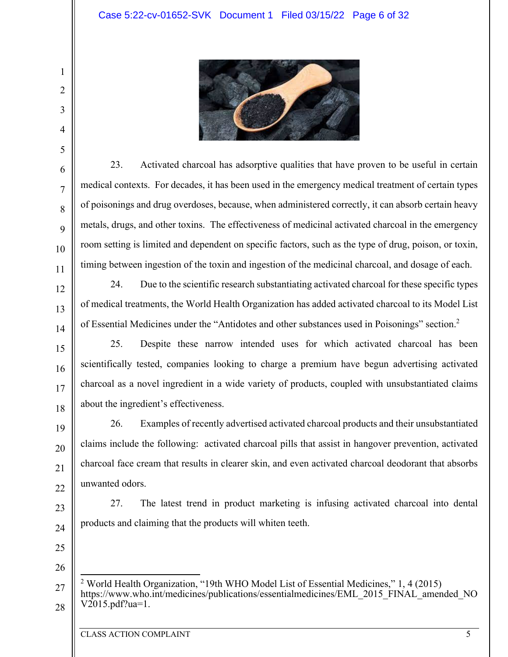

23. Activated charcoal has adsorptive qualities that have proven to be useful in certain medical contexts. For decades, it has been used in the emergency medical treatment of certain types of poisonings and drug overdoses, because, when administered correctly, it can absorb certain heavy metals, drugs, and other toxins. The effectiveness of medicinal activated charcoal in the emergency room setting is limited and dependent on specific factors, such as the type of drug, poison, or toxin, timing between ingestion of the toxin and ingestion of the medicinal charcoal, and dosage of each.

24. Due to the scientific research substantiating activated charcoal for these specific types of medical treatments, the World Health Organization has added activated charcoal to its Model List of Essential Medicines under the "Antidotes and other substances used in Poisonings" section.<sup>2</sup>

25. Despite these narrow intended uses for which activated charcoal has been scientifically tested, companies looking to charge a premium have begun advertising activated charcoal as a novel ingredient in a wide variety of products, coupled with unsubstantiated claims about the ingredient's effectiveness.

26. Examples of recently advertised activated charcoal products and their unsubstantiated claims include the following: activated charcoal pills that assist in hangover prevention, activated charcoal face cream that results in clearer skin, and even activated charcoal deodorant that absorbs unwanted odors.

23

24

1

2

3

4

5

6

7

8

9

10

11

12

13

14

15

16

17

18

19

20

21

22

27. The latest trend in product marketing is infusing activated charcoal into dental products and claiming that the products will whiten teeth.

25 26

27

<sup>&</sup>lt;sup>2</sup> World Health Organization, "19th WHO Model List of Essential Medicines," 1, 4 (2015) https://www.who.int/medicines/publications/essentialmedicines/EML\_2015\_FINAL\_amended\_NO V2015.pdf?ua=1.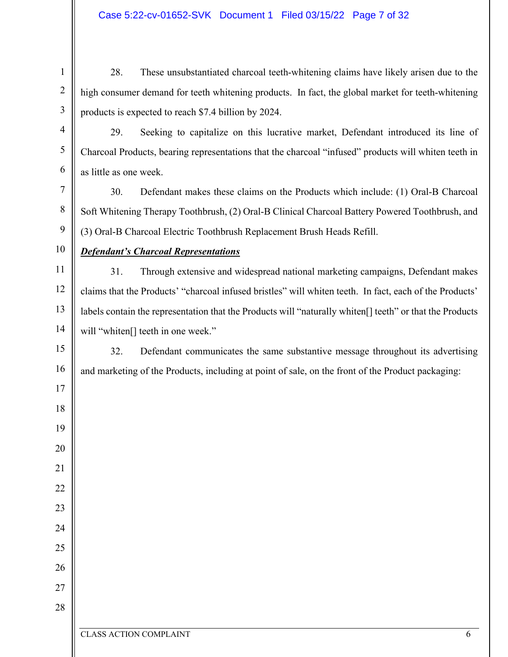28. These unsubstantiated charcoal teeth-whitening claims have likely arisen due to the high consumer demand for teeth whitening products. In fact, the global market for teeth-whitening products is expected to reach \$7.4 billion by 2024.

29. Seeking to capitalize on this lucrative market, Defendant introduced its line of Charcoal Products, bearing representations that the charcoal "infused" products will whiten teeth in as little as one week.

30. Defendant makes these claims on the Products which include: (1) Oral-B Charcoal Soft Whitening Therapy Toothbrush, (2) Oral-B Clinical Charcoal Battery Powered Toothbrush, and (3) Oral-B Charcoal Electric Toothbrush Replacement Brush Heads Refill.

# 

## *Defendant's Charcoal Representations*

 31. Through extensive and widespread national marketing campaigns, Defendant makes claims that the Products' "charcoal infused bristles" will whiten teeth. In fact, each of the Products' labels contain the representation that the Products will "naturally whiten[] teeth" or that the Products will "whiten<sup>[]</sup> teeth in one week."

 32. Defendant communicates the same substantive message throughout its advertising and marketing of the Products, including at point of sale, on the front of the Product packaging: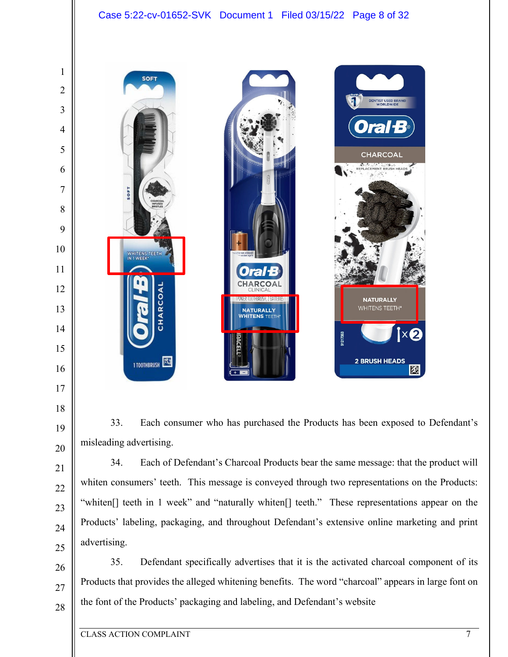## Case 5:22-cv-01652-SVK Document 1 Filed 03/15/22 Page 8 of 32



33. Each consumer who has purchased the Products has been exposed to Defendant's misleading advertising.

34. Each of Defendant's Charcoal Products bear the same message: that the product will whiten consumers' teeth. This message is conveyed through two representations on the Products: "whiten[] teeth in 1 week" and "naturally whiten[] teeth." These representations appear on the Products' labeling, packaging, and throughout Defendant's extensive online marketing and print advertising.

35. Defendant specifically advertises that it is the activated charcoal component of its Products that provides the alleged whitening benefits. The word "charcoal" appears in large font on the font of the Products' packaging and labeling, and Defendant's website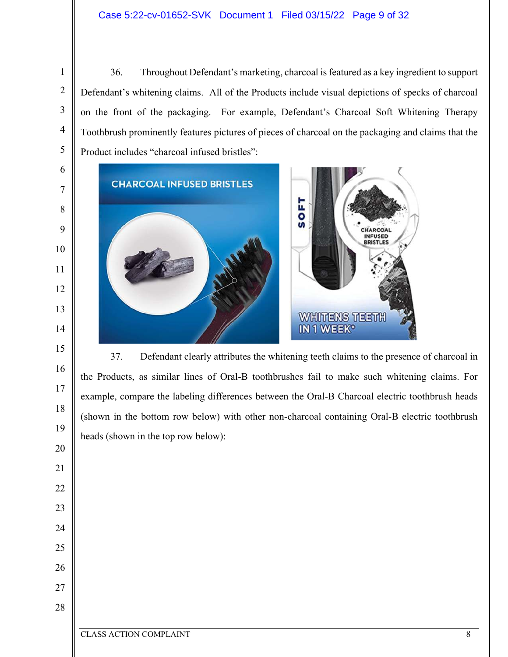36. Throughout Defendant's marketing, charcoal is featured as a key ingredient to support Defendant's whitening claims. All of the Products include visual depictions of specks of charcoal on the front of the packaging. For example, Defendant's Charcoal Soft Whitening Therapy Toothbrush prominently features pictures of pieces of charcoal on the packaging and claims that the Product includes "charcoal infused bristles":



37. Defendant clearly attributes the whitening teeth claims to the presence of charcoal in the Products, as similar lines of Oral-B toothbrushes fail to make such whitening claims. For example, compare the labeling differences between the Oral-B Charcoal electric toothbrush heads (shown in the bottom row below) with other non-charcoal containing Oral-B electric toothbrush heads (shown in the top row below):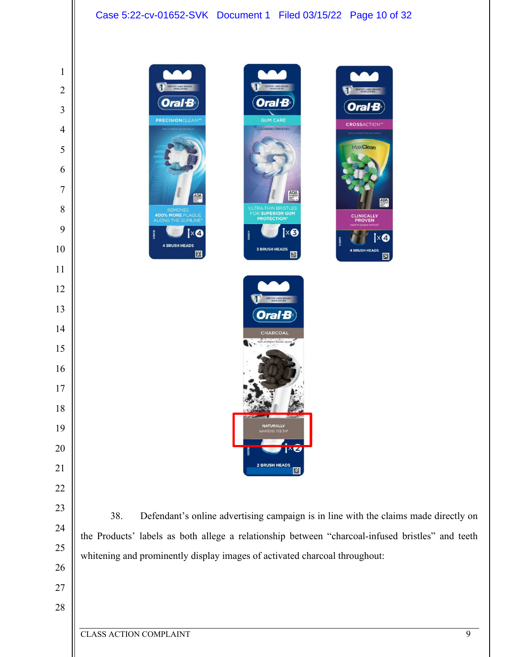# Case 5:22-cv-01652-SVK Document 1 Filed 03/15/22 Page 10 of 32

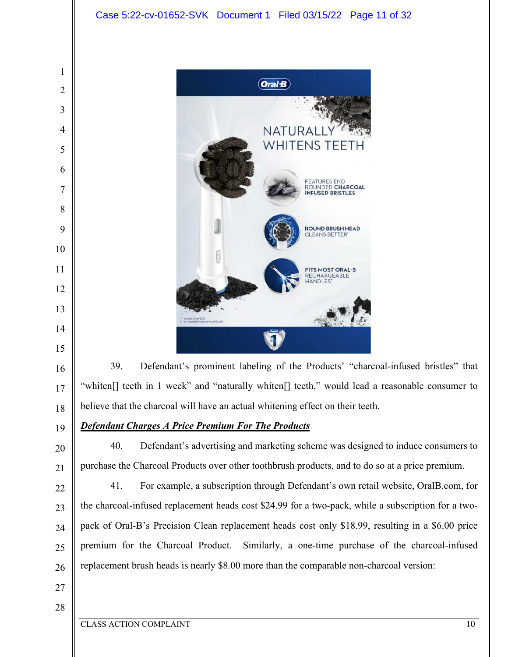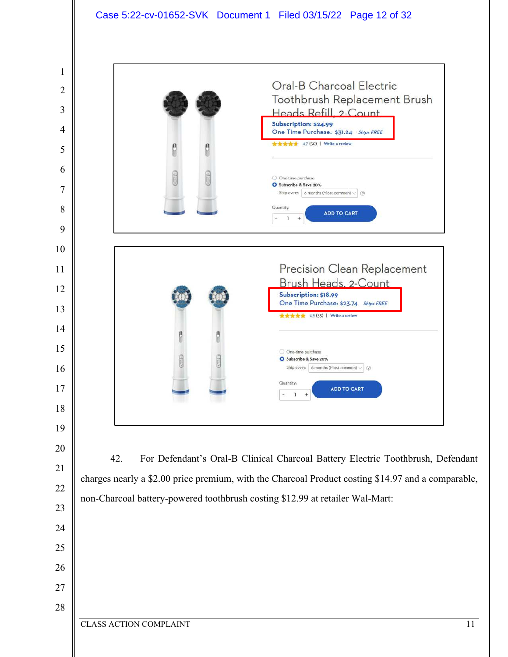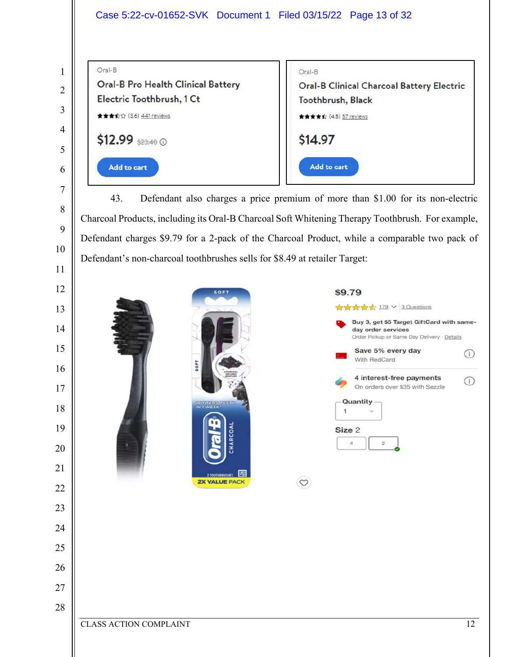Oral-B



43. Defendant also charges a price premium of more than \$1.00 for its non-electric Charcoal Products, including its Oral-B Charcoal Soft Whitening Therapy Toothbrush. For example, Defendant charges \$9.79 for a 2-pack of the Charcoal Product, while a comparable two pack of Defendant's non-charcoal toothbrushes sells for \$8.49 at retailer Target:

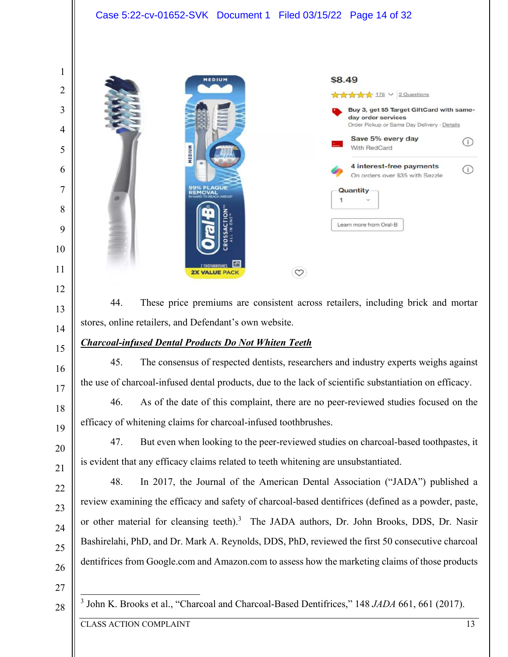

44. These price premiums are consistent across retailers, including brick and mortar stores, online retailers, and Defendant's own website.

## *Charcoal-infused Dental Products Do Not Whiten Teeth*

45. The consensus of respected dentists, researchers and industry experts weighs against the use of charcoal-infused dental products, due to the lack of scientific substantiation on efficacy.

46. As of the date of this complaint, there are no peer-reviewed studies focused on the efficacy of whitening claims for charcoal-infused toothbrushes.

47. But even when looking to the peer-reviewed studies on charcoal-based toothpastes, it is evident that any efficacy claims related to teeth whitening are unsubstantiated.

48. In 2017, the Journal of the American Dental Association ("JADA") published a review examining the efficacy and safety of charcoal-based dentifrices (defined as a powder, paste, or other material for cleansing teeth).<sup>3</sup> The JADA authors, Dr. John Brooks, DDS, Dr. Nasir Bashirelahi, PhD, and Dr. Mark A. Reynolds, DDS, PhD, reviewed the first 50 consecutive charcoal dentifrices from Google.com and Amazon.com to assess how the marketing claims of those products

 John K. Brooks et al., "Charcoal and Charcoal-Based Dentifrices," 148 *JADA* 661, 661 (2017).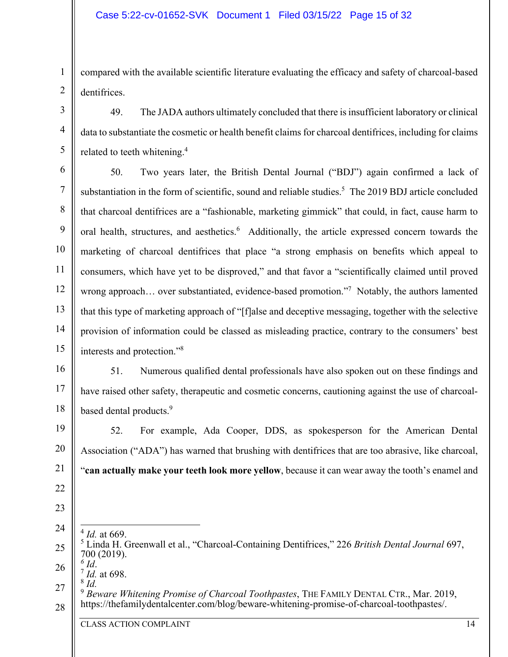## Case 5:22-cv-01652-SVK Document 1 Filed 03/15/22 Page 15 of 32

compared with the available scientific literature evaluating the efficacy and safety of charcoal-based dentifrices.

49. The JADA authors ultimately concluded that there is insufficient laboratory or clinical data to substantiate the cosmetic or health benefit claims for charcoal dentifrices, including for claims related to teeth whitening.<sup>4</sup>

6 7 8 9 10 11 12 13 14 15 50. Two years later, the British Dental Journal ("BDJ") again confirmed a lack of substantiation in the form of scientific, sound and reliable studies.<sup>5</sup> The 2019 BDJ article concluded that charcoal dentifrices are a "fashionable, marketing gimmick" that could, in fact, cause harm to oral health, structures, and aesthetics.<sup>6</sup> Additionally, the article expressed concern towards the marketing of charcoal dentifrices that place "a strong emphasis on benefits which appeal to consumers, which have yet to be disproved," and that favor a "scientifically claimed until proved wrong approach... over substantiated, evidence-based promotion."<sup>7</sup> Notably, the authors lamented that this type of marketing approach of "[f]alse and deceptive messaging, together with the selective provision of information could be classed as misleading practice, contrary to the consumers' best interests and protection."<sup>8</sup>

16 17 18 51. Numerous qualified dental professionals have also spoken out on these findings and have raised other safety, therapeutic and cosmetic concerns, cautioning against the use of charcoalbased dental products.<sup>9</sup>

19 20 21 52. For example, Ada Cooper, DDS, as spokesperson for the American Dental Association ("ADA") has warned that brushing with dentifrices that are too abrasive, like charcoal, "**can actually make your teeth look more yellow**, because it can wear away the tooth's enamel and

- 24  $^{4}$  *Id.* at 669.
- 25 5 Linda H. Greenwall et al., "Charcoal-Containing Dentifrices," 226 *British Dental Journal* 697, 700 (2019).
- 26 *6 Id*. 7 *Id.* at 698.
- 8 *Id.*

22

23

1

2

3

4

<sup>27</sup>  28 <sup>9</sup> *Beware Whitening Promise of Charcoal Toothpastes*, THE FAMILY DENTAL CTR., Mar. 2019, https://thefamilydentalcenter.com/blog/beware-whitening-promise-of-charcoal-toothpastes/.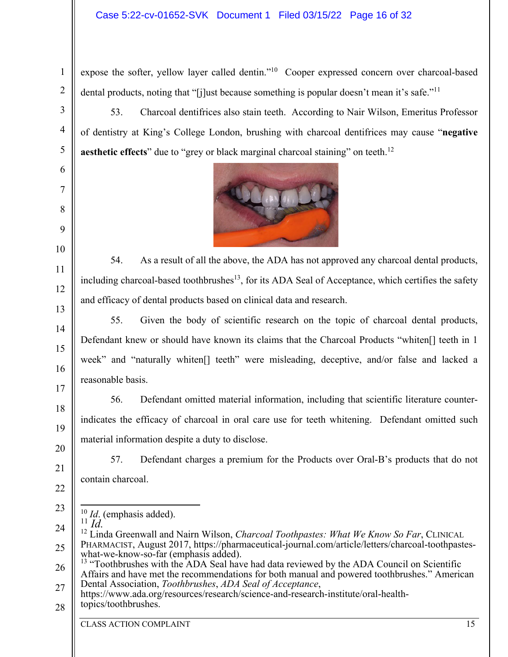## Case 5:22-cv-01652-SVK Document 1 Filed 03/15/22 Page 16 of 32

expose the softer, yellow layer called dentin."<sup>10</sup> Cooper expressed concern over charcoal-based dental products, noting that "[j]ust because something is popular doesn't mean it's safe."<sup>11</sup>

53. Charcoal dentifrices also stain teeth. According to Nair Wilson, Emeritus Professor of dentistry at King's College London, brushing with charcoal dentifrices may cause "**negative aesthetic effects**" due to "grey or black marginal charcoal staining" on teeth.<sup>12</sup>



54. As a result of all the above, the ADA has not approved any charcoal dental products, including charcoal-based toothbrushes<sup>13</sup>, for its ADA Seal of Acceptance, which certifies the safety and efficacy of dental products based on clinical data and research.

55. Given the body of scientific research on the topic of charcoal dental products, Defendant knew or should have known its claims that the Charcoal Products "whiten[] teeth in 1 week" and "naturally whiten[] teeth" were misleading, deceptive, and/or false and lacked a reasonable basis.

56. Defendant omitted material information, including that scientific literature counterindicates the efficacy of charcoal in oral care use for teeth whitening. Defendant omitted such material information despite a duty to disclose.

57. Defendant charges a premium for the Products over Oral-B's products that do not contain charcoal.

<sup>10</sup> *Id*. (emphasis added).  $\ddot{a}$ <sup>11</sup> $\dddot{a}$ <sup>1</sup>.

<sup>12</sup> Linda Greenwall and Nairn Wilson, *Charcoal Toothpastes: What We Know So Far*, CLINICAL PHARMACIST, August 2017, https://pharmaceutical-journal.com/article/letters/charcoal-toothpasteswhat-we-know-so-far (emphasis added). <sup>13</sup> "Toothbrushes with the ADA Seal have had data reviewed by the ADA Council on Scientific

Affairs and have met the recommendations for both manual and powered toothbrushes." American Dental Association, *Toothbrushes*, *ADA Seal of Acceptance*,

https://www.ada.org/resources/research/science-and-research-institute/oral-healthtopics/toothbrushes.

CLASS ACTION COMPLAINT 15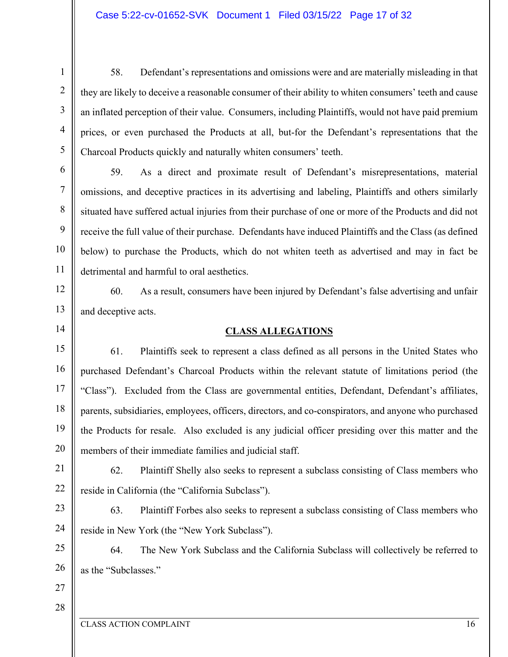58. Defendant's representations and omissions were and are materially misleading in that they are likely to deceive a reasonable consumer of their ability to whiten consumers' teeth and cause an inflated perception of their value. Consumers, including Plaintiffs, would not have paid premium prices, or even purchased the Products at all, but-for the Defendant's representations that the Charcoal Products quickly and naturally whiten consumers' teeth.

59. As a direct and proximate result of Defendant's misrepresentations, material omissions, and deceptive practices in its advertising and labeling, Plaintiffs and others similarly situated have suffered actual injuries from their purchase of one or more of the Products and did not receive the full value of their purchase. Defendants have induced Plaintiffs and the Class (as defined below) to purchase the Products, which do not whiten teeth as advertised and may in fact be detrimental and harmful to oral aesthetics.

60. As a result, consumers have been injured by Defendant's false advertising and unfair and deceptive acts.

14

15

16

17

18

19

20

1

2

3

4

5

6

7

8

9

10

11

12

13

## **CLASS ALLEGATIONS**

61. Plaintiffs seek to represent a class defined as all persons in the United States who purchased Defendant's Charcoal Products within the relevant statute of limitations period (the "Class"). Excluded from the Class are governmental entities, Defendant, Defendant's affiliates, parents, subsidiaries, employees, officers, directors, and co-conspirators, and anyone who purchased the Products for resale. Also excluded is any judicial officer presiding over this matter and the members of their immediate families and judicial staff.

21 22 62. Plaintiff Shelly also seeks to represent a subclass consisting of Class members who reside in California (the "California Subclass").

23 24 63. Plaintiff Forbes also seeks to represent a subclass consisting of Class members who reside in New York (the "New York Subclass").

25 26 64. The New York Subclass and the California Subclass will collectively be referred to as the "Subclasses."

27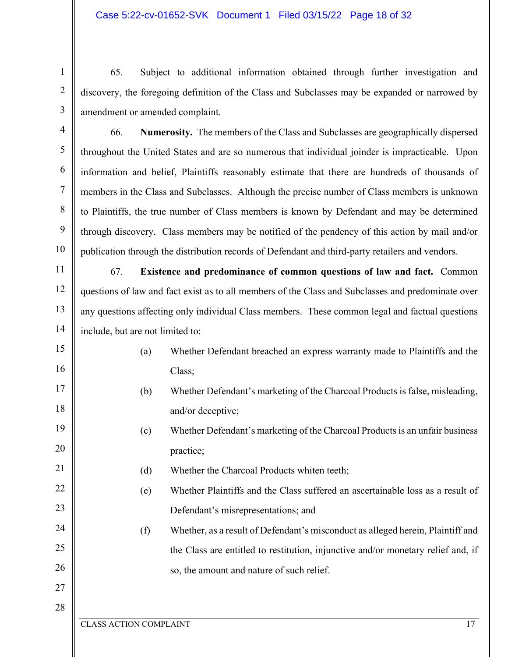65. Subject to additional information obtained through further investigation and discovery, the foregoing definition of the Class and Subclasses may be expanded or narrowed by amendment or amended complaint.

66. **Numerosity.** The members of the Class and Subclasses are geographically dispersed throughout the United States and are so numerous that individual joinder is impracticable. Upon information and belief, Plaintiffs reasonably estimate that there are hundreds of thousands of members in the Class and Subclasses. Although the precise number of Class members is unknown to Plaintiffs, the true number of Class members is known by Defendant and may be determined through discovery. Class members may be notified of the pendency of this action by mail and/or publication through the distribution records of Defendant and third-party retailers and vendors.

11 12 13 14 67. **Existence and predominance of common questions of law and fact.** Common questions of law and fact exist as to all members of the Class and Subclasses and predominate over any questions affecting only individual Class members. These common legal and factual questions include, but are not limited to:

- (a) Whether Defendant breached an express warranty made to Plaintiffs and the Class;
- (b) Whether Defendant's marketing of the Charcoal Products is false, misleading, and/or deceptive;
	- (c) Whether Defendant's marketing of the Charcoal Products is an unfair business practice;
	- (d) Whether the Charcoal Products whiten teeth;
		- (e) Whether Plaintiffs and the Class suffered an ascertainable loss as a result of Defendant's misrepresentations; and
			- (f) Whether, as a result of Defendant's misconduct as alleged herein, Plaintiff and the Class are entitled to restitution, injunctive and/or monetary relief and, if so, the amount and nature of such relief.

# 27 28

1

2

3

4

5

6

7

8

9

10

15

16

17

18

19

20

21

22

23

24

25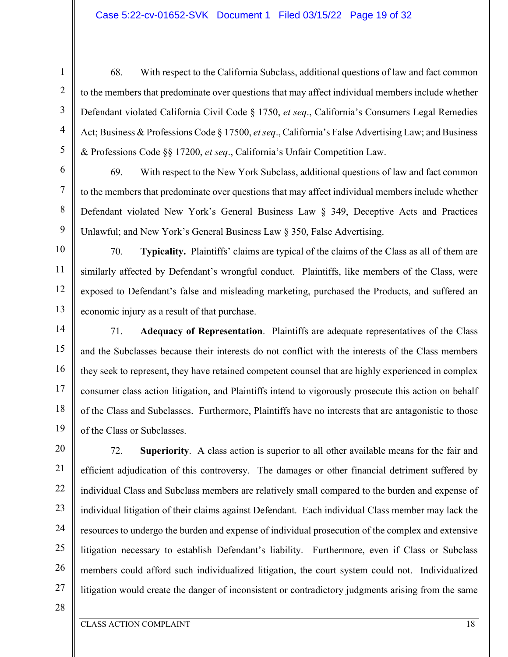#### Case 5:22-cv-01652-SVK Document 1 Filed 03/15/22 Page 19 of 32

1

68. With respect to the California Subclass, additional questions of law and fact common to the members that predominate over questions that may affect individual members include whether Defendant violated California Civil Code § 1750, *et seq*., California's Consumers Legal Remedies Act; Business & Professions Code § 17500, *et seq*., California's False Advertising Law; and Business & Professions Code §§ 17200, *et seq*., California's Unfair Competition Law.

69. With respect to the New York Subclass, additional questions of law and fact common to the members that predominate over questions that may affect individual members include whether Defendant violated New York's General Business Law § 349, Deceptive Acts and Practices Unlawful; and New York's General Business Law § 350, False Advertising.

70. **Typicality.** Plaintiffs' claims are typical of the claims of the Class as all of them are similarly affected by Defendant's wrongful conduct. Plaintiffs, like members of the Class, were exposed to Defendant's false and misleading marketing, purchased the Products, and suffered an economic injury as a result of that purchase.

71. **Adequacy of Representation**. Plaintiffs are adequate representatives of the Class and the Subclasses because their interests do not conflict with the interests of the Class members they seek to represent, they have retained competent counsel that are highly experienced in complex consumer class action litigation, and Plaintiffs intend to vigorously prosecute this action on behalf of the Class and Subclasses. Furthermore, Plaintiffs have no interests that are antagonistic to those of the Class or Subclasses.

20 21 22 23 24 25 26 27 72. **Superiority**.A class action is superior to all other available means for the fair and efficient adjudication of this controversy. The damages or other financial detriment suffered by individual Class and Subclass members are relatively small compared to the burden and expense of individual litigation of their claims against Defendant. Each individual Class member may lack the resources to undergo the burden and expense of individual prosecution of the complex and extensive litigation necessary to establish Defendant's liability. Furthermore, even if Class or Subclass members could afford such individualized litigation, the court system could not. Individualized litigation would create the danger of inconsistent or contradictory judgments arising from the same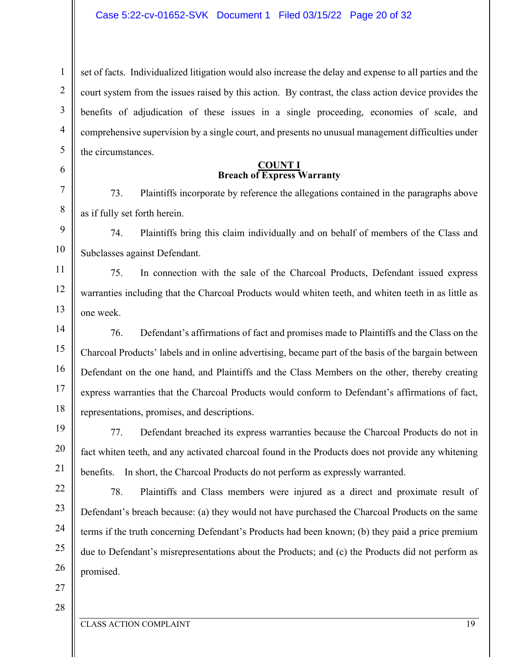5 set of facts. Individualized litigation would also increase the delay and expense to all parties and the court system from the issues raised by this action. By contrast, the class action device provides the benefits of adjudication of these issues in a single proceeding, economies of scale, and comprehensive supervision by a single court, and presents no unusual management difficulties under the circumstances.

#### **COUNT I Breach of Express Warranty**

73. Plaintiffs incorporate by reference the allegations contained in the paragraphs above as if fully set forth herein.

74. Plaintiffs bring this claim individually and on behalf of members of the Class and Subclasses against Defendant.

75. In connection with the sale of the Charcoal Products, Defendant issued express warranties including that the Charcoal Products would whiten teeth, and whiten teeth in as little as one week.

76. Defendant's affirmations of fact and promises made to Plaintiffs and the Class on the Charcoal Products' labels and in online advertising, became part of the basis of the bargain between Defendant on the one hand, and Plaintiffs and the Class Members on the other, thereby creating express warranties that the Charcoal Products would conform to Defendant's affirmations of fact, representations, promises, and descriptions.

77. Defendant breached its express warranties because the Charcoal Products do not in fact whiten teeth, and any activated charcoal found in the Products does not provide any whitening benefits. In short, the Charcoal Products do not perform as expressly warranted.

22 23 24 25 26 78. Plaintiffs and Class members were injured as a direct and proximate result of Defendant's breach because: (a) they would not have purchased the Charcoal Products on the same terms if the truth concerning Defendant's Products had been known; (b) they paid a price premium due to Defendant's misrepresentations about the Products; and (c) the Products did not perform as promised.

27

1

2

3

4

6

7

8

9

10

11

12

13

14

15

16

17

18

19

20

21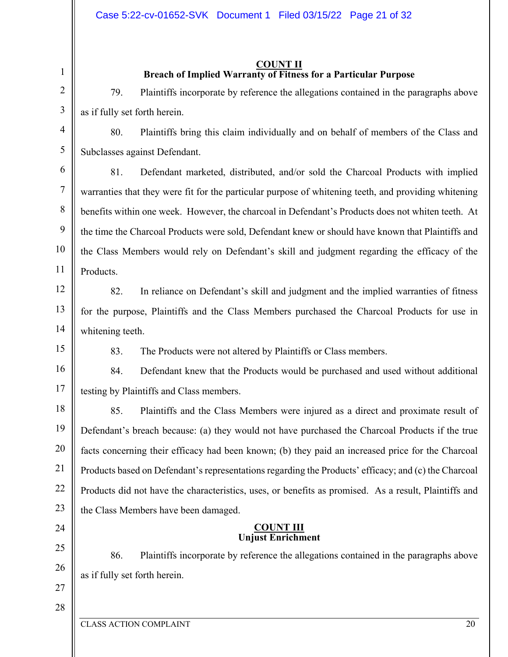## **COUNT II Breach of Implied Warranty of Fitness for a Particular Purpose**

79. Plaintiffs incorporate by reference the allegations contained in the paragraphs above as if fully set forth herein.

80. Plaintiffs bring this claim individually and on behalf of members of the Class and Subclasses against Defendant.

81. Defendant marketed, distributed, and/or sold the Charcoal Products with implied warranties that they were fit for the particular purpose of whitening teeth, and providing whitening benefits within one week. However, the charcoal in Defendant's Products does not whiten teeth. At the time the Charcoal Products were sold, Defendant knew or should have known that Plaintiffs and the Class Members would rely on Defendant's skill and judgment regarding the efficacy of the Products.

12 13

14

1

2

3

4

5

6

7

8

9

10

11

82. In reliance on Defendant's skill and judgment and the implied warranties of fitness for the purpose, Plaintiffs and the Class Members purchased the Charcoal Products for use in whitening teeth.

15

83. The Products were not altered by Plaintiffs or Class members.

16 17 84. Defendant knew that the Products would be purchased and used without additional testing by Plaintiffs and Class members.

18 19 20 21 22 23 85. Plaintiffs and the Class Members were injured as a direct and proximate result of Defendant's breach because: (a) they would not have purchased the Charcoal Products if the true facts concerning their efficacy had been known; (b) they paid an increased price for the Charcoal Products based on Defendant's representations regarding the Products' efficacy; and (c) the Charcoal Products did not have the characteristics, uses, or benefits as promised. As a result, Plaintiffs and the Class Members have been damaged.

# 24

25

26

86. Plaintiffs incorporate by reference the allegations contained in the paragraphs above as if fully set forth herein.

**COUNT III Unjust Enrichment**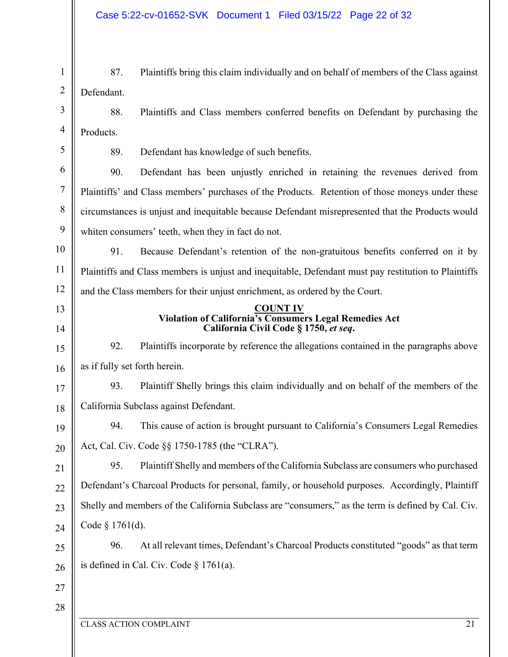1 2 3 87. Plaintiffs bring this claim individually and on behalf of members of the Class against Defendant. 88. Plaintiffs and Class members conferred benefits on Defendant by purchasing the

4 Products.

5

89. Defendant has knowledge of such benefits.

6 7 8 9 90. Defendant has been unjustly enriched in retaining the revenues derived from Plaintiffs' and Class members' purchases of the Products. Retention of those moneys under these circumstances is unjust and inequitable because Defendant misrepresented that the Products would whiten consumers' teeth, when they in fact do not.

10 11 12 91. Because Defendant's retention of the non-gratuitous benefits conferred on it by Plaintiffs and Class members is unjust and inequitable, Defendant must pay restitution to Plaintiffs and the Class members for their unjust enrichment, as ordered by the Court.

13 14

#### **COUNT IV Violation of California's Consumers Legal Remedies Act California Civil Code § 1750,** *et seq***.**

15 16 92. Plaintiffs incorporate by reference the allegations contained in the paragraphs above as if fully set forth herein.

17 18 93. Plaintiff Shelly brings this claim individually and on behalf of the members of the California Subclass against Defendant.

19 20 94. This cause of action is brought pursuant to California's Consumers Legal Remedies Act, Cal. Civ. Code §§ 1750-1785 (the "CLRA").

21 22 23  $24$ 95. Plaintiff Shelly and members of the California Subclass are consumers who purchased Defendant's Charcoal Products for personal, family, or household purposes. Accordingly, Plaintiff Shelly and members of the California Subclass are "consumers," as the term is defined by Cal. Civ. Code § 1761(d).

25 26 96. At all relevant times, Defendant's Charcoal Products constituted "goods" as that term is defined in Cal. Civ. Code  $\S 1761(a)$ .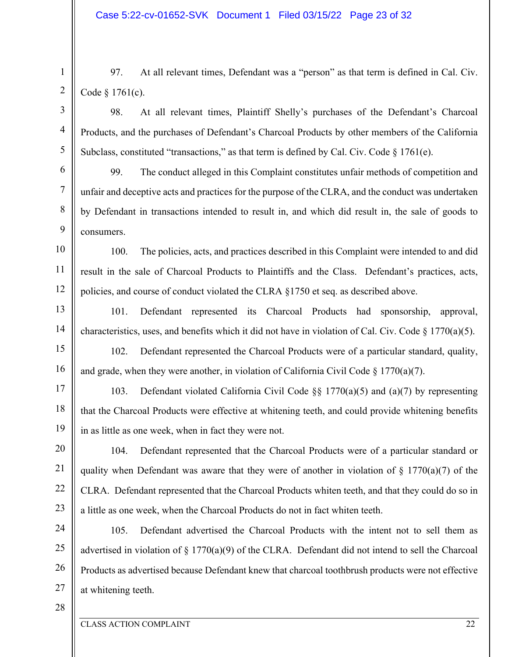97. At all relevant times, Defendant was a "person" as that term is defined in Cal. Civ. Code § 1761(c).

98. At all relevant times, Plaintiff Shelly's purchases of the Defendant's Charcoal Products, and the purchases of Defendant's Charcoal Products by other members of the California Subclass, constituted "transactions," as that term is defined by Cal. Civ. Code § 1761(e).

99. The conduct alleged in this Complaint constitutes unfair methods of competition and unfair and deceptive acts and practices for the purpose of the CLRA, and the conduct was undertaken by Defendant in transactions intended to result in, and which did result in, the sale of goods to consumers.

100. The policies, acts, and practices described in this Complaint were intended to and did result in the sale of Charcoal Products to Plaintiffs and the Class. Defendant's practices, acts, policies, and course of conduct violated the CLRA §1750 et seq. as described above.

101. Defendant represented its Charcoal Products had sponsorship, approval, characteristics, uses, and benefits which it did not have in violation of Cal. Civ. Code  $\S 1770(a)(5)$ .

102. Defendant represented the Charcoal Products were of a particular standard, quality, and grade, when they were another, in violation of California Civil Code  $\S$  1770(a)(7).

103. Defendant violated California Civil Code §§ 1770(a)(5) and (a)(7) by representing that the Charcoal Products were effective at whitening teeth, and could provide whitening benefits in as little as one week, when in fact they were not.

104. Defendant represented that the Charcoal Products were of a particular standard or quality when Defendant was aware that they were of another in violation of  $\S$  1770(a)(7) of the CLRA. Defendant represented that the Charcoal Products whiten teeth, and that they could do so in a little as one week, when the Charcoal Products do not in fact whiten teeth.

24 25 26 27 105. Defendant advertised the Charcoal Products with the intent not to sell them as advertised in violation of § 1770(a)(9) of the CLRA. Defendant did not intend to sell the Charcoal Products as advertised because Defendant knew that charcoal toothbrush products were not effective at whitening teeth.

28

1

2

3

4

5

6

7

8

9

10

11

12

13

14

15

16

17

18

19

20

21

22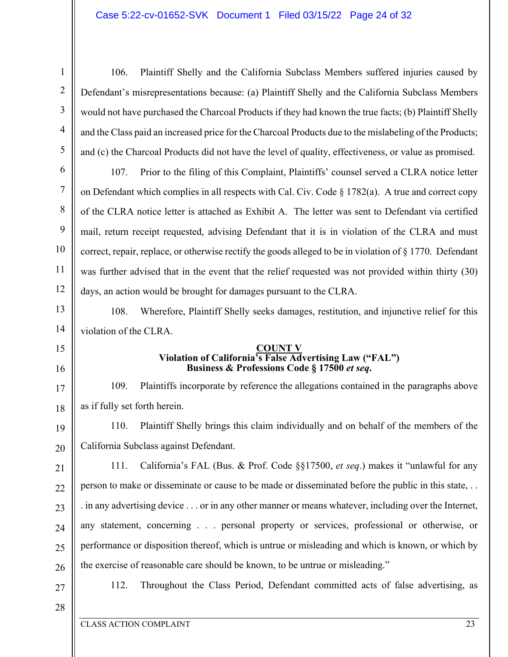106. Plaintiff Shelly and the California Subclass Members suffered injuries caused by Defendant's misrepresentations because: (a) Plaintiff Shelly and the California Subclass Members would not have purchased the Charcoal Products if they had known the true facts; (b) Plaintiff Shelly and the Class paid an increased price for the Charcoal Products due to the mislabeling of the Products; and (c) the Charcoal Products did not have the level of quality, effectiveness, or value as promised.

107. Prior to the filing of this Complaint, Plaintiffs' counsel served a CLRA notice letter on Defendant which complies in all respects with Cal. Civ. Code  $\S 1782(a)$ . A true and correct copy of the CLRA notice letter is attached as Exhibit A. The letter was sent to Defendant via certified mail, return receipt requested, advising Defendant that it is in violation of the CLRA and must correct, repair, replace, or otherwise rectify the goods alleged to be in violation of § 1770. Defendant was further advised that in the event that the relief requested was not provided within thirty (30) days, an action would be brought for damages pursuant to the CLRA.

108. Wherefore, Plaintiff Shelly seeks damages, restitution, and injunctive relief for this violation of the CLRA.

#### **COUNT V Violation of California's False Advertising Law ("FAL") Business & Professions Code § 17500** *et seq***.**

109. Plaintiffs incorporate by reference the allegations contained in the paragraphs above as if fully set forth herein.

19 20 110. Plaintiff Shelly brings this claim individually and on behalf of the members of the California Subclass against Defendant.

- 21 22 23 24 25 26 111. California's FAL (Bus. & Prof. Code §§17500, *et seq*.) makes it "unlawful for any person to make or disseminate or cause to be made or disseminated before the public in this state, . . . in any advertising device . . . or in any other manner or means whatever, including over the Internet, any statement, concerning . . . personal property or services, professional or otherwise, or performance or disposition thereof, which is untrue or misleading and which is known, or which by the exercise of reasonable care should be known, to be untrue or misleading."
- 27

1

2

3

4

5

6

7

8

9

10

11

12

13

14

15

16

17

18

112. Throughout the Class Period, Defendant committed acts of false advertising, as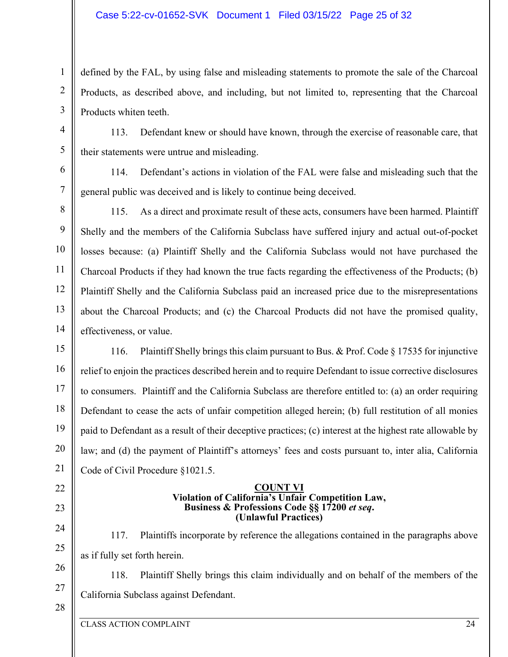#### Case 5:22-cv-01652-SVK Document 1 Filed 03/15/22 Page 25 of 32

defined by the FAL, by using false and misleading statements to promote the sale of the Charcoal Products, as described above, and including, but not limited to, representing that the Charcoal Products whiten teeth.

113. Defendant knew or should have known, through the exercise of reasonable care, that their statements were untrue and misleading.

114. Defendant's actions in violation of the FAL were false and misleading such that the general public was deceived and is likely to continue being deceived.

9 10 12 13 14 115. As a direct and proximate result of these acts, consumers have been harmed. Plaintiff Shelly and the members of the California Subclass have suffered injury and actual out-of-pocket losses because: (a) Plaintiff Shelly and the California Subclass would not have purchased the Charcoal Products if they had known the true facts regarding the effectiveness of the Products; (b) Plaintiff Shelly and the California Subclass paid an increased price due to the misrepresentations about the Charcoal Products; and (c) the Charcoal Products did not have the promised quality, effectiveness, or value.

15 16 17 18 19 20 21 116. Plaintiff Shelly brings this claim pursuant to Bus. & Prof. Code § 17535 for injunctive relief to enjoin the practices described herein and to require Defendant to issue corrective disclosures to consumers. Plaintiff and the California Subclass are therefore entitled to: (a) an order requiring Defendant to cease the acts of unfair competition alleged herein; (b) full restitution of all monies paid to Defendant as a result of their deceptive practices; (c) interest at the highest rate allowable by law; and (d) the payment of Plaintiff's attorneys' fees and costs pursuant to, inter alia, California Code of Civil Procedure §1021.5.

#### **COUNT VI Violation of California's Unfair Competition Law, Business & Professions Code §§ 17200** *et seq***. (Unlawful Practices)**

117. Plaintiffs incorporate by reference the allegations contained in the paragraphs above as if fully set forth herein.

118. Plaintiff Shelly brings this claim individually and on behalf of the members of the

25 26

22

23

24

1

2

3

4

5

6

7

8

11

27

California Subclass against Defendant.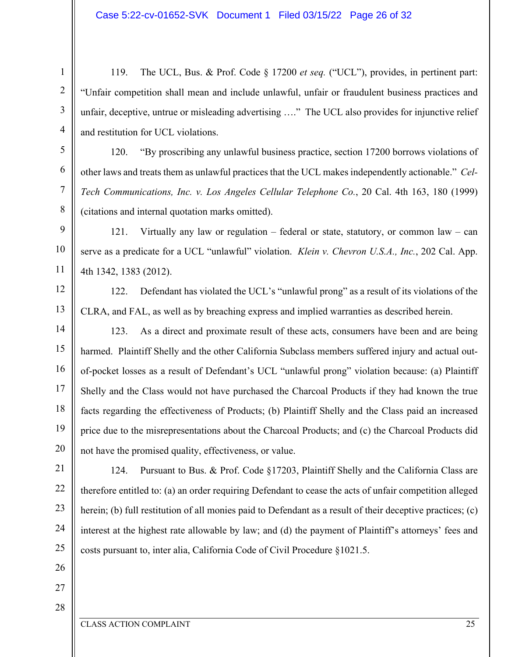119. The UCL, Bus. & Prof. Code § 17200 *et seq.* ("UCL"), provides, in pertinent part: "Unfair competition shall mean and include unlawful, unfair or fraudulent business practices and unfair, deceptive, untrue or misleading advertising …." The UCL also provides for injunctive relief and restitution for UCL violations.

120. "By proscribing any unlawful business practice, section 17200 borrows violations of other laws and treats them as unlawful practices that the UCL makes independently actionable." *Cel-Tech Communications, Inc. v. Los Angeles Cellular Telephone Co.*, 20 Cal. 4th 163, 180 (1999) (citations and internal quotation marks omitted).

10 121. Virtually any law or regulation – federal or state, statutory, or common law – can serve as a predicate for a UCL "unlawful" violation. *Klein v. Chevron U.S.A., Inc.*, 202 Cal. App. 4th 1342, 1383 (2012).

122. Defendant has violated the UCL's "unlawful prong" as a result of its violations of the CLRA, and FAL, as well as by breaching express and implied warranties as described herein.

14 15 16 17 18 19 20 123. As a direct and proximate result of these acts, consumers have been and are being harmed. Plaintiff Shelly and the other California Subclass members suffered injury and actual outof-pocket losses as a result of Defendant's UCL "unlawful prong" violation because: (a) Plaintiff Shelly and the Class would not have purchased the Charcoal Products if they had known the true facts regarding the effectiveness of Products; (b) Plaintiff Shelly and the Class paid an increased price due to the misrepresentations about the Charcoal Products; and (c) the Charcoal Products did not have the promised quality, effectiveness, or value.

21 22 23 24 25 124. Pursuant to Bus. & Prof. Code §17203, Plaintiff Shelly and the California Class are therefore entitled to: (a) an order requiring Defendant to cease the acts of unfair competition alleged herein; (b) full restitution of all monies paid to Defendant as a result of their deceptive practices; (c) interest at the highest rate allowable by law; and (d) the payment of Plaintiff's attorneys' fees and costs pursuant to, inter alia, California Code of Civil Procedure §1021.5.

26

1

2

3

4

5

6

7

8

9

11

12

13

27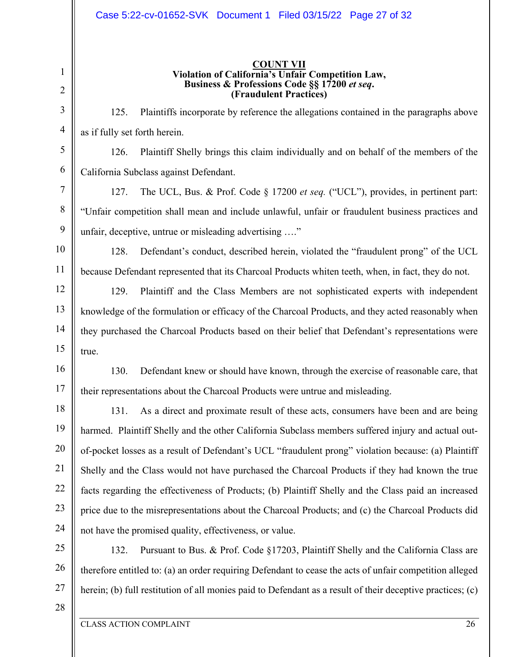#### Case 5:22-cv-01652-SVK Document 1 Filed 03/15/22 Page 27 of 32

#### **COUNT VII Violation of California's Unfair Competition Law, Business & Professions Code §§ 17200** *et seq***. (Fraudulent Practices)**

125. Plaintiffs incorporate by reference the allegations contained in the paragraphs above as if fully set forth herein.

126. Plaintiff Shelly brings this claim individually and on behalf of the members of the California Subclass against Defendant.

127. The UCL, Bus. & Prof. Code § 17200 *et seq.* ("UCL"), provides, in pertinent part: "Unfair competition shall mean and include unlawful, unfair or fraudulent business practices and unfair, deceptive, untrue or misleading advertising …."

10 11 128. Defendant's conduct, described herein, violated the "fraudulent prong" of the UCL because Defendant represented that its Charcoal Products whiten teeth, when, in fact, they do not.

129. Plaintiff and the Class Members are not sophisticated experts with independent knowledge of the formulation or efficacy of the Charcoal Products, and they acted reasonably when they purchased the Charcoal Products based on their belief that Defendant's representations were true.

16 130. Defendant knew or should have known, through the exercise of reasonable care, that their representations about the Charcoal Products were untrue and misleading.

18 19 20 21 22 23 24 131. As a direct and proximate result of these acts, consumers have been and are being harmed. Plaintiff Shelly and the other California Subclass members suffered injury and actual outof-pocket losses as a result of Defendant's UCL "fraudulent prong" violation because: (a) Plaintiff Shelly and the Class would not have purchased the Charcoal Products if they had known the true facts regarding the effectiveness of Products; (b) Plaintiff Shelly and the Class paid an increased price due to the misrepresentations about the Charcoal Products; and (c) the Charcoal Products did not have the promised quality, effectiveness, or value.

25 26 27 132. Pursuant to Bus. & Prof. Code §17203, Plaintiff Shelly and the California Class are therefore entitled to: (a) an order requiring Defendant to cease the acts of unfair competition alleged herein; (b) full restitution of all monies paid to Defendant as a result of their deceptive practices; (c)

28

1

2

3

4

5

6

7

8

9

12

13

14

15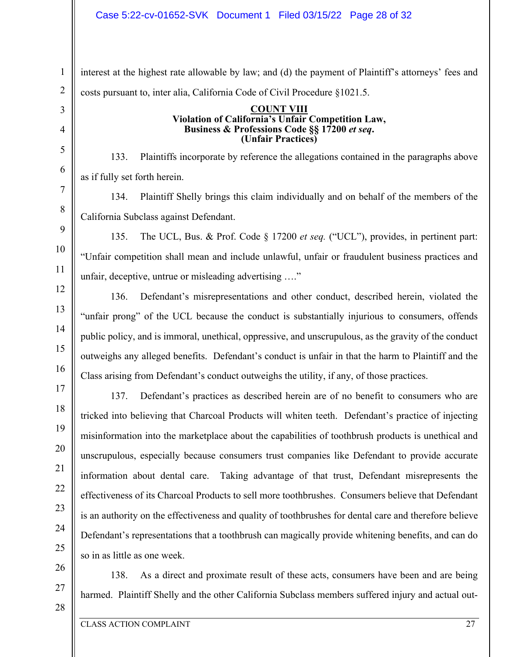interest at the highest rate allowable by law; and (d) the payment of Plaintiff's attorneys' fees and costs pursuant to, inter alia, California Code of Civil Procedure §1021.5.

#### **COUNT VIII Violation of California's Unfair Competition Law, Business & Professions Code §§ 17200** *et seq***. (Unfair Practices)**

133. Plaintiffs incorporate by reference the allegations contained in the paragraphs above as if fully set forth herein.

134. Plaintiff Shelly brings this claim individually and on behalf of the members of the California Subclass against Defendant.

135. The UCL, Bus. & Prof. Code § 17200 *et seq.* ("UCL"), provides, in pertinent part: "Unfair competition shall mean and include unlawful, unfair or fraudulent business practices and unfair, deceptive, untrue or misleading advertising …."

136. Defendant's misrepresentations and other conduct, described herein, violated the "unfair prong" of the UCL because the conduct is substantially injurious to consumers, offends public policy, and is immoral, unethical, oppressive, and unscrupulous, as the gravity of the conduct outweighs any alleged benefits. Defendant's conduct is unfair in that the harm to Plaintiff and the Class arising from Defendant's conduct outweighs the utility, if any, of those practices.

137. Defendant's practices as described herein are of no benefit to consumers who are tricked into believing that Charcoal Products will whiten teeth. Defendant's practice of injecting misinformation into the marketplace about the capabilities of toothbrush products is unethical and unscrupulous, especially because consumers trust companies like Defendant to provide accurate information about dental care. Taking advantage of that trust, Defendant misrepresents the effectiveness of its Charcoal Products to sell more toothbrushes. Consumers believe that Defendant is an authority on the effectiveness and quality of toothbrushes for dental care and therefore believe Defendant's representations that a toothbrush can magically provide whitening benefits, and can do so in as little as one week.

26 27

28

1

2

3

4

5

6

7

8

9

10

11

12

13

14

15

16

17

18

19

20

21

22

23

24

25

138. As a direct and proximate result of these acts, consumers have been and are being harmed. Plaintiff Shelly and the other California Subclass members suffered injury and actual out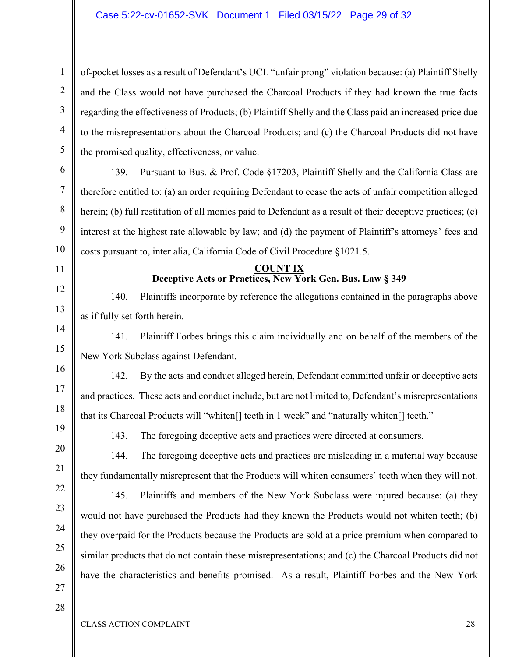of-pocket losses as a result of Defendant's UCL "unfair prong" violation because: (a) Plaintiff Shelly and the Class would not have purchased the Charcoal Products if they had known the true facts regarding the effectiveness of Products; (b) Plaintiff Shelly and the Class paid an increased price due to the misrepresentations about the Charcoal Products; and (c) the Charcoal Products did not have the promised quality, effectiveness, or value.

139. Pursuant to Bus. & Prof. Code §17203, Plaintiff Shelly and the California Class are therefore entitled to: (a) an order requiring Defendant to cease the acts of unfair competition alleged herein; (b) full restitution of all monies paid to Defendant as a result of their deceptive practices; (c) interest at the highest rate allowable by law; and (d) the payment of Plaintiff's attorneys' fees and costs pursuant to, inter alia, California Code of Civil Procedure §1021.5.

## **COUNT IX Deceptive Acts or Practices, New York Gen. Bus. Law § 349**

140. Plaintiffs incorporate by reference the allegations contained in the paragraphs above as if fully set forth herein.

141. Plaintiff Forbes brings this claim individually and on behalf of the members of the New York Subclass against Defendant.

142. By the acts and conduct alleged herein, Defendant committed unfair or deceptive acts and practices. These acts and conduct include, but are not limited to, Defendant's misrepresentations that its Charcoal Products will "whiten[] teeth in 1 week" and "naturally whiten[] teeth."

143. The foregoing deceptive acts and practices were directed at consumers.

144. The foregoing deceptive acts and practices are misleading in a material way because they fundamentally misrepresent that the Products will whiten consumers' teeth when they will not.

145. Plaintiffs and members of the New York Subclass were injured because: (a) they would not have purchased the Products had they known the Products would not whiten teeth; (b) they overpaid for the Products because the Products are sold at a price premium when compared to similar products that do not contain these misrepresentations; and (c) the Charcoal Products did not have the characteristics and benefits promised. As a result, Plaintiff Forbes and the New York

27 28

1

2

3

4

5

6

7

8

9

10

11

12

13

14

15

16

17

18

19

20

21

22

23

24

25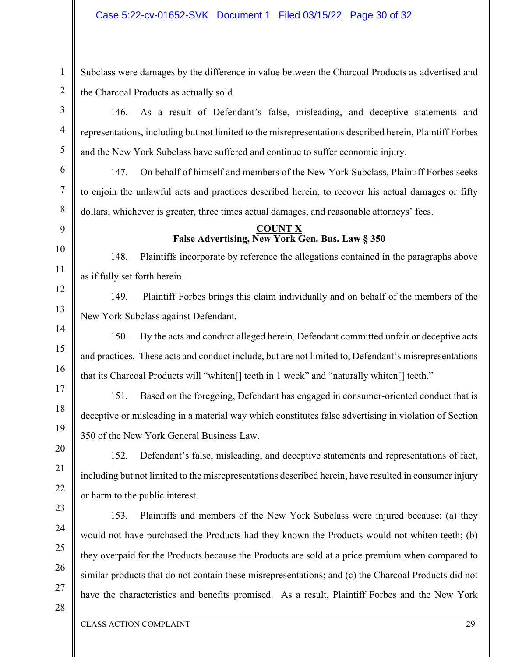Subclass were damages by the difference in value between the Charcoal Products as advertised and the Charcoal Products as actually sold.

146. As a result of Defendant's false, misleading, and deceptive statements and representations, including but not limited to the misrepresentations described herein, Plaintiff Forbes and the New York Subclass have suffered and continue to suffer economic injury.

147. On behalf of himself and members of the New York Subclass, Plaintiff Forbes seeks to enjoin the unlawful acts and practices described herein, to recover his actual damages or fifty dollars, whichever is greater, three times actual damages, and reasonable attorneys' fees.

# **COUNT X False Advertising, New York Gen. Bus. Law § 350**

148. Plaintiffs incorporate by reference the allegations contained in the paragraphs above as if fully set forth herein.

149. Plaintiff Forbes brings this claim individually and on behalf of the members of the New York Subclass against Defendant.

150. By the acts and conduct alleged herein, Defendant committed unfair or deceptive acts and practices. These acts and conduct include, but are not limited to, Defendant's misrepresentations that its Charcoal Products will "whiten[] teeth in 1 week" and "naturally whiten[] teeth."

151. Based on the foregoing, Defendant has engaged in consumer-oriented conduct that is deceptive or misleading in a material way which constitutes false advertising in violation of Section 350 of the New York General Business Law.

152. Defendant's false, misleading, and deceptive statements and representations of fact, including but not limited to the misrepresentations described herein, have resulted in consumer injury or harm to the public interest.

153. Plaintiffs and members of the New York Subclass were injured because: (a) they would not have purchased the Products had they known the Products would not whiten teeth; (b) they overpaid for the Products because the Products are sold at a price premium when compared to similar products that do not contain these misrepresentations; and (c) the Charcoal Products did not have the characteristics and benefits promised. As a result, Plaintiff Forbes and the New York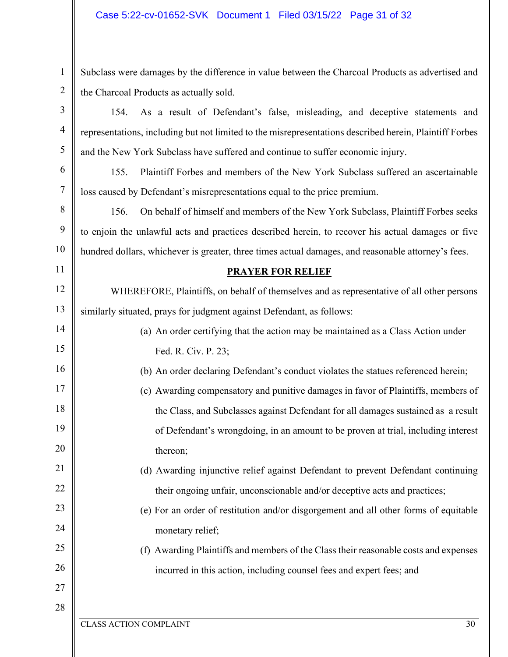1 2 Subclass were damages by the difference in value between the Charcoal Products as advertised and the Charcoal Products as actually sold.

154. As a result of Defendant's false, misleading, and deceptive statements and representations, including but not limited to the misrepresentations described herein, Plaintiff Forbes and the New York Subclass have suffered and continue to suffer economic injury.

155. Plaintiff Forbes and members of the New York Subclass suffered an ascertainable loss caused by Defendant's misrepresentations equal to the price premium.

156. On behalf of himself and members of the New York Subclass, Plaintiff Forbes seeks to enjoin the unlawful acts and practices described herein, to recover his actual damages or five hundred dollars, whichever is greater, three times actual damages, and reasonable attorney's fees.

## **PRAYER FOR RELIEF**

12 13 WHEREFORE, Plaintiffs, on behalf of themselves and as representative of all other persons similarly situated, prays for judgment against Defendant, as follows:

- (a) An order certifying that the action may be maintained as a Class Action under Fed. R. Civ. P. 23;
	- (b) An order declaring Defendant's conduct violates the statues referenced herein;
- 17 18 19 20 (c) Awarding compensatory and punitive damages in favor of Plaintiffs, members of the Class, and Subclasses against Defendant for all damages sustained as a result of Defendant's wrongdoing, in an amount to be proven at trial, including interest thereon;
	- (d) Awarding injunctive relief against Defendant to prevent Defendant continuing their ongoing unfair, unconscionable and/or deceptive acts and practices;
	- (e) For an order of restitution and/or disgorgement and all other forms of equitable monetary relief;
	- (f) Awarding Plaintiffs and members of the Class their reasonable costs and expenses incurred in this action, including counsel fees and expert fees; and

27 28

3

4

5

6

7

8

9

10

11

14

15

16

21

22

23

 $24$ 

25